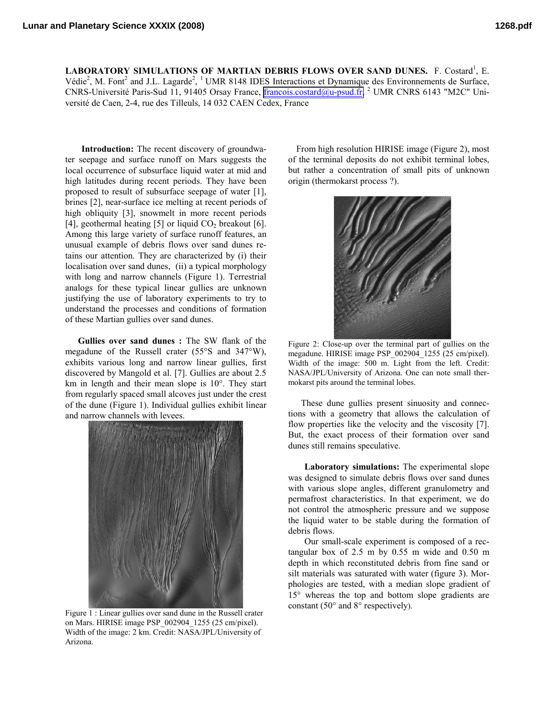LABORATORY SIMULATIONS OF MARTIAN DEBRIS FLOWS OVER SAND DUNES. F. Costard<sup>1</sup>, E. Védie<sup>2</sup>, M. Font<sup>2</sup> and J.L. Lagarde<sup>2</sup>, <sup>1</sup> UMR 8148 IDES Interactions et Dynamique des Environnements de Surface, CNRS-Université Paris-Sud 11, 91405 Orsay France, [francois.costard@u-psud.fr,](mailto:francois.costard@u-psud.fr) <sup>2</sup> UMR CNRS 6143 "M2C" Université de Caen, 2-4, rue des Tilleuls, 14 032 CAEN Cedex, France

**Introduction:** The recent discovery of groundwater seepage and surface runoff on Mars suggests the local occurrence of subsurface liquid water at mid and high latitudes during recent periods. They have been proposed to result of subsurface seepage of water [1], brines [2], near-surface ice melting at recent periods of high obliquity [3], snowmelt in more recent periods [4], geothermal heating [5] or liquid  $CO<sub>2</sub>$  breakout [6]. Among this large variety of surface runoff features, an unusual example of debris flows over sand dunes retains our attention. They are characterized by (i) their localisation over sand dunes, (ii) a typical morphology with long and narrow channels (Figure 1). Terrestrial analogs for these typical linear gullies are unknown justifying the use of laboratory experiments to try to understand the processes and conditions of formation of these Martian gullies over sand dunes.

**Gullies over sand dunes :** The SW flank of the megadune of the Russell crater (55°S and 347°W), exhibits various long and narrow linear gullies, first discovered by Mangold et al. [7]. Gullies are about 2.5 km in length and their mean slope is 10°. They start from regularly spaced small alcoves just under the crest of the dune (Figure 1). Individual gullies exhibit linear and narrow channels with levees.



Figure 1 : Linear gullies over sand dune in the Russell crater on Mars. HIRISE image PSP\_002904\_1255 (25 cm/pixel). Width of the image: 2 km. Credit: NASA/JPL/University of Arizona.

From high resolution HIRISE image (Figure 2), most of the terminal deposits do not exhibit terminal lobes, but rather a concentration of small pits of unknown origin (thermokarst process ?).



Figure 2: Close-up over the terminal part of gullies on the megadune. HIRISE image PSP\_002904\_1255 (25 cm/pixel). Width of the image: 500 m. Light from the left. Credit: NASA/JPL/University of Arizona. One can note small thermokarst pits around the terminal lobes.

These dune gullies present sinuosity and connections with a geometry that allows the calculation of flow properties like the velocity and the viscosity [7]. But, the exact process of their formation over sand dunes still remains speculative.

**Laboratory simulations:** The experimental slope was designed to simulate debris flows over sand dunes with various slope angles, different granulometry and permafrost characteristics. In that experiment, we do not control the atmospheric pressure and we suppose the liquid water to be stable during the formation of debris flows.

Our small-scale experiment is composed of a rectangular box of 2.5 m by 0.55 m wide and 0.50 m depth in which reconstituted debris from fine sand or silt materials was saturated with water (figure 3). Morphologies are tested, with a median slope gradient of 15° whereas the top and bottom slope gradients are constant (50° and 8° respectively).